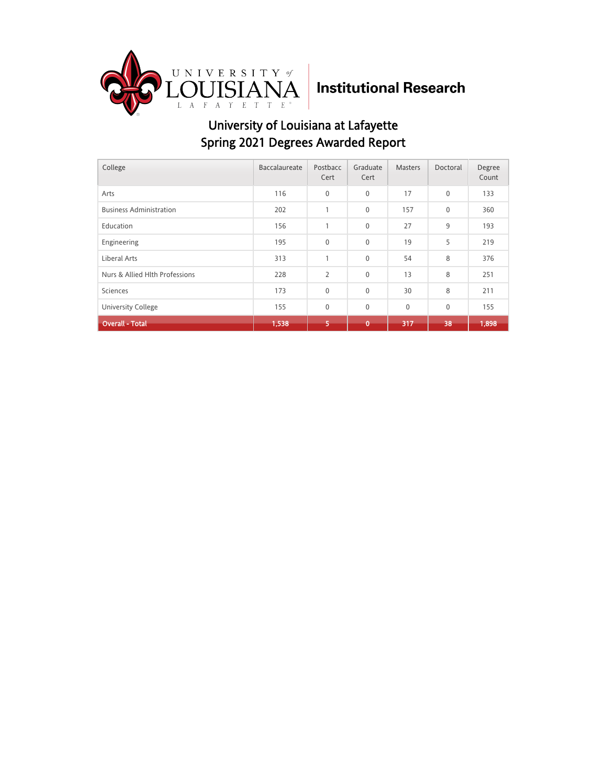

| College                        | Baccalaureate | Postbacc<br>Cert | Graduate<br>Cert | <b>Masters</b> | Doctoral    | Degree<br>Count |
|--------------------------------|---------------|------------------|------------------|----------------|-------------|-----------------|
| Arts                           | 116           | $\mathbf{0}$     | 0                | 17             | $\mathbf 0$ | 133             |
| <b>Business Administration</b> | 202           | $\mathbf{1}$     | 0                | 157            | $\mathbf 0$ | 360             |
| Education                      | 156           | $\mathbf{1}$     | 0                | 27             | 9           | 193             |
| Engineering                    | 195           | $\mathbf{0}$     | 0                | 19             | 5           | 219             |
| Liberal Arts                   | 313           | $\mathbf{1}$     | 0                | 54             | 8           | 376             |
| Nurs & Allied Hlth Professions | 228           | $\overline{2}$   | 0                | 13             | 8           | 251             |
| Sciences                       | 173           | $\mathbf 0$      | 0                | 30             | 8           | 211             |
| <b>University College</b>      | 155           | $\mathbf{0}$     | 0                | $\mathbf 0$    | $\mathbf 0$ | 155             |
| <b>Overall - Total</b>         | 1,538         | 5.               | $\mathbf 0$      | 317            | 38          | 1,898           |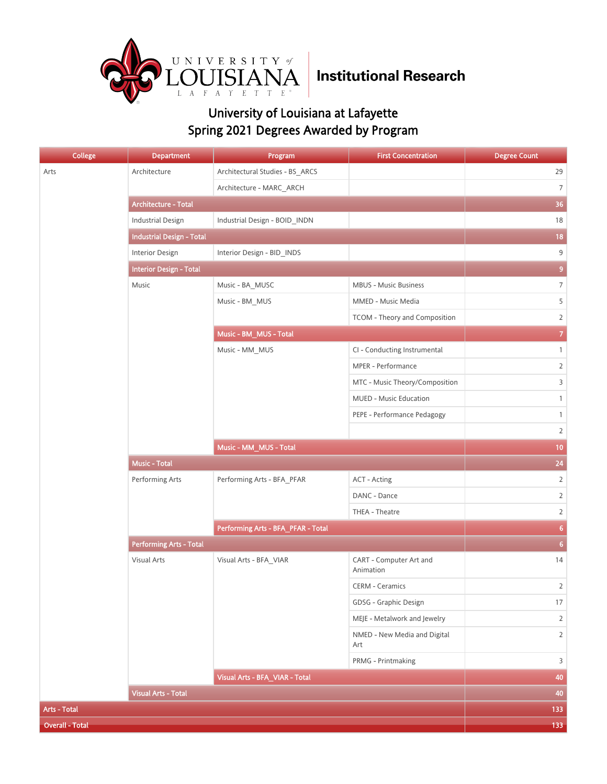

| College                | <b>Department</b>                | Program                            | <b>First Concentration</b>           | <b>Degree Count</b> |
|------------------------|----------------------------------|------------------------------------|--------------------------------------|---------------------|
| Arts                   | Architecture                     | Architectural Studies - BS_ARCS    |                                      | 29                  |
|                        |                                  | Architecture - MARC ARCH           |                                      | $\overline{7}$      |
|                        | Architecture - Total             |                                    |                                      | 36                  |
|                        | <b>Industrial Design</b>         | Industrial Design - BOID_INDN      |                                      | 18                  |
|                        | <b>Industrial Design - Total</b> |                                    |                                      | 18                  |
|                        | Interior Design                  | Interior Design - BID_INDS         |                                      | 9                   |
|                        | <b>Interior Design - Total</b>   |                                    |                                      | $\overline{9}$      |
|                        | Music                            | Music - BA_MUSC                    | <b>MBUS - Music Business</b>         | $\overline{7}$      |
|                        |                                  | Music - BM_MUS                     | MMED - Music Media                   | 5                   |
|                        |                                  |                                    | TCOM - Theory and Composition        | $\overline{2}$      |
|                        |                                  | Music - BM_MUS - Total             |                                      | $\overline{7}$      |
|                        |                                  | Music - MM_MUS                     | CI - Conducting Instrumental         | $\mathbf{1}$        |
|                        |                                  |                                    | MPER - Performance                   | $\overline{2}$      |
|                        |                                  |                                    | MTC - Music Theory/Composition       | 3                   |
|                        |                                  |                                    | MUED - Music Education               | $\mathbf{1}$        |
|                        |                                  |                                    | PEPE - Performance Pedagogy          | $\mathbf{1}$        |
|                        |                                  |                                    |                                      | $\overline{2}$      |
|                        |                                  | Music - MM_MUS - Total             |                                      | 10                  |
|                        | <b>Music - Total</b>             |                                    |                                      | 24                  |
|                        | Performing Arts                  | Performing Arts - BFA_PFAR         | <b>ACT - Acting</b>                  | $\overline{2}$      |
|                        |                                  |                                    | DANC - Dance                         | $\overline{2}$      |
|                        |                                  |                                    | THEA - Theatre                       | $\overline{2}$      |
|                        |                                  | Performing Arts - BFA_PFAR - Total | 6 <sup>1</sup>                       |                     |
|                        | <b>Performing Arts - Total</b>   |                                    |                                      | 6 <sup>1</sup>      |
|                        | Visual Arts                      | Visual Arts - BFA_VIAR             | CART - Computer Art and<br>Animation | 14                  |
|                        |                                  |                                    | <b>CERM - Ceramics</b>               | 2                   |
|                        |                                  |                                    | GDSG - Graphic Design                | 17                  |
|                        |                                  |                                    | MEJE - Metalwork and Jewelry         | $\overline{2}$      |
|                        |                                  |                                    | NMED - New Media and Digital<br>Art  | $\overline{2}$      |
|                        |                                  |                                    | PRMG - Printmaking                   | 3                   |
|                        |                                  | Visual Arts - BFA_VIAR - Total     |                                      | 40                  |
|                        | <b>Visual Arts - Total</b>       |                                    |                                      | 40                  |
| Arts - Total           |                                  |                                    |                                      | 133                 |
| <b>Overall - Total</b> |                                  |                                    |                                      | $133$               |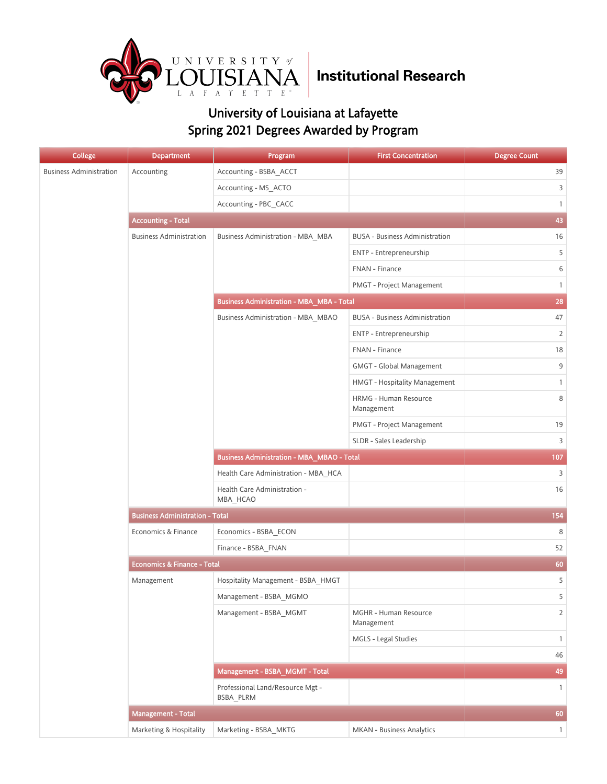

| <b>College</b>                 | <b>Department</b>                      | Program                                           | <b>First Concentration</b>            | <b>Degree Count</b> |
|--------------------------------|----------------------------------------|---------------------------------------------------|---------------------------------------|---------------------|
| <b>Business Administration</b> | Accounting                             | Accounting - BSBA ACCT                            |                                       | 39                  |
|                                |                                        | Accounting - MS_ACTO                              |                                       | 3                   |
|                                |                                        | Accounting - PBC CACC                             |                                       | $\mathbf{1}$        |
|                                | <b>Accounting - Total</b>              |                                                   |                                       | 43                  |
|                                | <b>Business Administration</b>         | Business Administration - MBA_MBA                 | <b>BUSA - Business Administration</b> | 16                  |
|                                |                                        |                                                   | ENTP - Entrepreneurship               | 5                   |
|                                |                                        |                                                   | FNAN - Finance                        | 6                   |
|                                |                                        |                                                   | PMGT - Project Management             | $\mathbf{1}$        |
|                                |                                        | <b>Business Administration - MBA_MBA - Total</b>  |                                       | 28                  |
|                                |                                        | Business Administration - MBA_MBAO                | <b>BUSA - Business Administration</b> | 47                  |
|                                |                                        |                                                   | ENTP - Entrepreneurship               | $\overline{2}$      |
|                                |                                        |                                                   | FNAN - Finance                        | 18                  |
|                                |                                        |                                                   | <b>GMGT - Global Management</b>       | 9                   |
|                                |                                        |                                                   | HMGT - Hospitality Management         | $\mathbf{1}$        |
|                                |                                        |                                                   | HRMG - Human Resource<br>Management   | 8                   |
|                                |                                        |                                                   | PMGT - Project Management             | 19                  |
|                                |                                        |                                                   | SLDR - Sales Leadership               | 3                   |
|                                |                                        | <b>Business Administration - MBA_MBAO - Total</b> | 107                                   |                     |
|                                |                                        | Health Care Administration - MBA_HCA              |                                       | 3                   |
|                                |                                        | Health Care Administration -<br>MBA_HCAO          |                                       | 16                  |
|                                | <b>Business Administration - Total</b> |                                                   |                                       | 154                 |
|                                | Economics & Finance                    | Economics - BSBA_ECON                             |                                       | 8                   |
|                                |                                        | Finance - BSBA_FNAN                               |                                       | 52                  |
|                                | <b>Economics &amp; Finance - Total</b> | 60                                                |                                       |                     |
|                                | Management                             | Hospitality Management - BSBA_HMGT                |                                       | 5                   |
|                                |                                        | Management - BSBA MGMO                            |                                       | 5                   |
|                                |                                        | Management - BSBA MGMT                            | MGHR - Human Resource<br>Management   | $\overline{2}$      |
|                                |                                        |                                                   | MGLS - Legal Studies                  | $\mathbf{1}$        |
|                                |                                        |                                                   |                                       | 46                  |
|                                |                                        | Management - BSBA_MGMT - Total                    |                                       | 49                  |
|                                |                                        | Professional Land/Resource Mgt -<br>BSBA_PLRM     |                                       | $\mathbf{1}$        |
|                                | <b>Management - Total</b>              |                                                   |                                       | 60                  |
|                                | Marketing & Hospitality                | Marketing - BSBA MKTG                             | MKAN - Business Analytics             | $\mathbf{1}$        |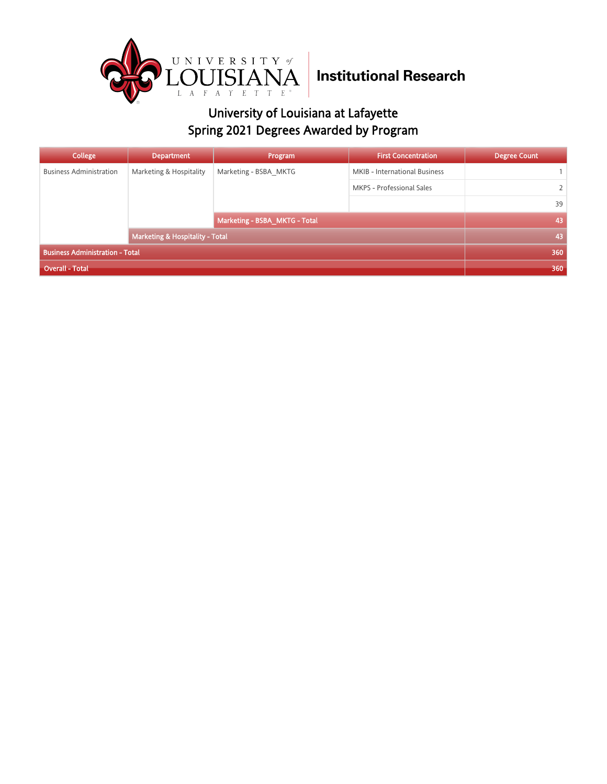

| College                                | <b>Department</b>                          | Program               | <b>First Concentration</b>    | <b>Degree Count</b> |
|----------------------------------------|--------------------------------------------|-----------------------|-------------------------------|---------------------|
| <b>Business Administration</b>         | Marketing & Hospitality                    | Marketing - BSBA MKTG | MKIB - International Business |                     |
|                                        |                                            |                       | MKPS - Professional Sales     |                     |
|                                        |                                            |                       |                               | 39                  |
|                                        | Marketing - BSBA MKTG - Total              |                       | 43                            |                     |
|                                        | <b>Marketing &amp; Hospitality - Total</b> |                       |                               | 43                  |
| <b>Business Administration - Total</b> |                                            |                       |                               | 360                 |
| Overall - Total                        |                                            |                       | 360                           |                     |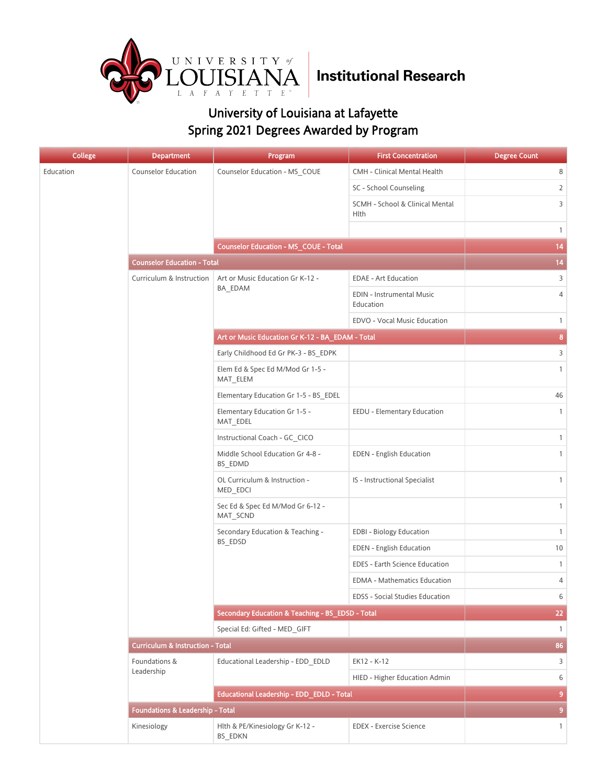

| <b>College</b> | <b>Department</b>                           | Program                                          | <b>First Concentration</b>                     | <b>Degree Count</b> |  |  |
|----------------|---------------------------------------------|--------------------------------------------------|------------------------------------------------|---------------------|--|--|
| Education      | Counselor Education                         | Counselor Education - MS_COUE                    | CMH - Clinical Mental Health                   | 8                   |  |  |
|                |                                             |                                                  | SC - School Counseling                         | 2                   |  |  |
|                |                                             |                                                  | SCMH - School & Clinical Mental<br><b>Hlth</b> | 3                   |  |  |
|                |                                             |                                                  |                                                | $\mathbf{1}$        |  |  |
|                |                                             | <b>Counselor Education - MS_COUE - Total</b>     |                                                | 14                  |  |  |
|                |                                             | <b>Counselor Education - Total</b>               |                                                |                     |  |  |
|                | Curriculum & Instruction                    | Art or Music Education Gr K-12 -                 | <b>EDAE - Art Education</b>                    | 3                   |  |  |
|                |                                             | BA EDAM                                          | EDIN - Instrumental Music<br>Education         | 4                   |  |  |
|                |                                             |                                                  | EDVO - Vocal Music Education                   | $\mathbf{1}$        |  |  |
|                |                                             | Art or Music Education Gr K-12 - BA_EDAM - Total |                                                | 8                   |  |  |
|                |                                             | Early Childhood Ed Gr PK-3 - BS EDPK             |                                                | 3                   |  |  |
|                |                                             | Elem Ed & Spec Ed M/Mod Gr 1-5 -<br>MAT ELEM     |                                                | $\mathbf{1}$        |  |  |
|                |                                             | Elementary Education Gr 1-5 - BS EDEL            |                                                | 46                  |  |  |
|                |                                             | Elementary Education Gr 1-5 -<br>MAT_EDEL        | EEDU - Elementary Education                    | $\mathbf{1}$        |  |  |
|                |                                             | Instructional Coach - GC CICO                    |                                                | $\mathbf{1}$        |  |  |
|                |                                             | Middle School Education Gr 4-8 -<br>BS EDMD      | EDEN - English Education                       | $\mathbf{1}$        |  |  |
|                |                                             | OL Curriculum & Instruction -<br>MED_EDCI        | IS - Instructional Specialist                  | $\mathbf{1}$        |  |  |
|                |                                             | Sec Ed & Spec Ed M/Mod Gr 6-12 -<br>MAT_SCND     |                                                | $\mathbf{1}$        |  |  |
|                |                                             | Secondary Education & Teaching -                 | <b>EDBI - Biology Education</b>                | $\mathbf{1}$        |  |  |
|                |                                             | BS_EDSD                                          | <b>EDEN</b> - English Education                | 10                  |  |  |
|                |                                             |                                                  | EDES - Earth Science Education                 | $\mathbf{1}$        |  |  |
|                |                                             |                                                  | <b>EDMA - Mathematics Education</b>            | 4                   |  |  |
|                |                                             |                                                  | EDSS - Social Studies Education                | 6                   |  |  |
|                |                                             | Secondary Education & Teaching - BS EDSD - Total |                                                | 22                  |  |  |
|                |                                             | Special Ed: Gifted - MED GIFT                    |                                                | $\mathbf{1}$        |  |  |
|                | <b>Curriculum &amp; Instruction - Total</b> |                                                  |                                                | 86                  |  |  |
|                | Foundations &<br>Leadership                 | Educational Leadership - EDD EDLD                | EK12 - K-12                                    | 3                   |  |  |
|                |                                             |                                                  | HIED - Higher Education Admin                  | 6                   |  |  |
|                |                                             | Educational Leadership - EDD_EDLD - Total        |                                                | 9                   |  |  |
|                | <b>Foundations &amp; Leadership - Total</b> |                                                  |                                                | 9                   |  |  |
|                | Kinesiology                                 | Hlth & PE/Kinesiology Gr K-12 -<br>BS EDKN       | <b>EDEX</b> - Exercise Science                 | $\mathbf{1}$        |  |  |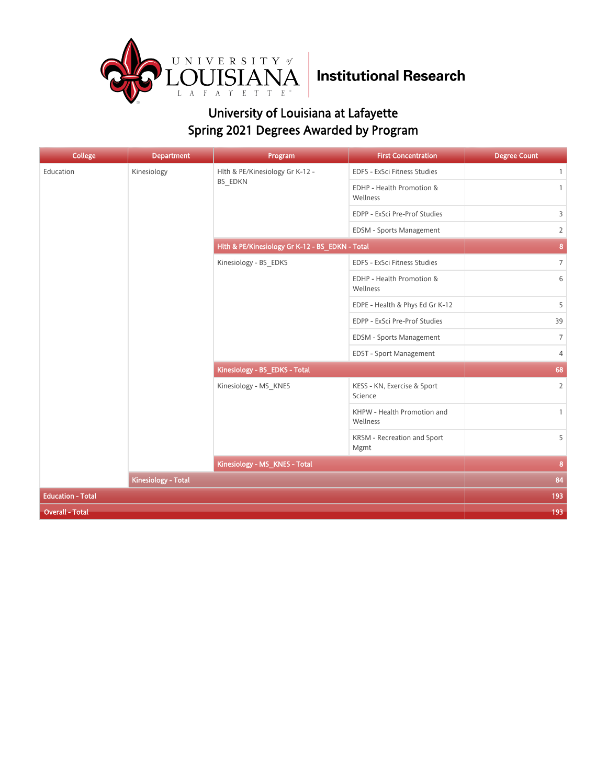

| College                  | <b>Department</b>   | Program                                         | <b>First Concentration</b>              | <b>Degree Count</b> |
|--------------------------|---------------------|-------------------------------------------------|-----------------------------------------|---------------------|
| Education                | Kinesiology         | Hlth & PE/Kinesiology Gr K-12 -                 | EDFS - ExSci Fitness Studies            | $\mathbf{1}$        |
|                          |                     | BS_EDKN                                         | EDHP - Health Promotion &<br>Wellness   | $\mathbf{1}$        |
|                          |                     |                                                 | EDPP - ExSci Pre-Prof Studies           | $\overline{3}$      |
|                          |                     |                                                 | EDSM - Sports Management                | $\overline{2}$      |
|                          |                     | Hlth & PE/Kinesiology Gr K-12 - BS_EDKN - Total |                                         | $\bf{8}$            |
|                          |                     | Kinesiology - BS_EDKS                           | EDFS - ExSci Fitness Studies            | $\overline{7}$      |
|                          |                     |                                                 | EDHP - Health Promotion &<br>Wellness   | 6                   |
|                          |                     |                                                 | EDPE - Health & Phys Ed Gr K-12         | 5                   |
|                          |                     |                                                 | EDPP - ExSci Pre-Prof Studies           | 39                  |
|                          |                     |                                                 | EDSM - Sports Management                | $\overline{7}$      |
|                          |                     |                                                 | EDST - Sport Management                 | $\overline{4}$      |
|                          |                     | Kinesiology - BS_EDKS - Total                   |                                         | 68                  |
|                          |                     | Kinesiology - MS KNES                           | KESS - KN, Exercise & Sport<br>Science  | $\overline{2}$      |
|                          |                     |                                                 | KHPW - Health Promotion and<br>Wellness | $\mathbf{1}$        |
|                          |                     |                                                 | KRSM - Recreation and Sport<br>Mgmt     | 5                   |
|                          |                     | Kinesiology - MS_KNES - Total                   |                                         | 8                   |
|                          | Kinesiology - Total |                                                 |                                         | 84                  |
| <b>Education - Total</b> |                     |                                                 |                                         | 193                 |
| <b>Overall - Total</b>   | 193                 |                                                 |                                         |                     |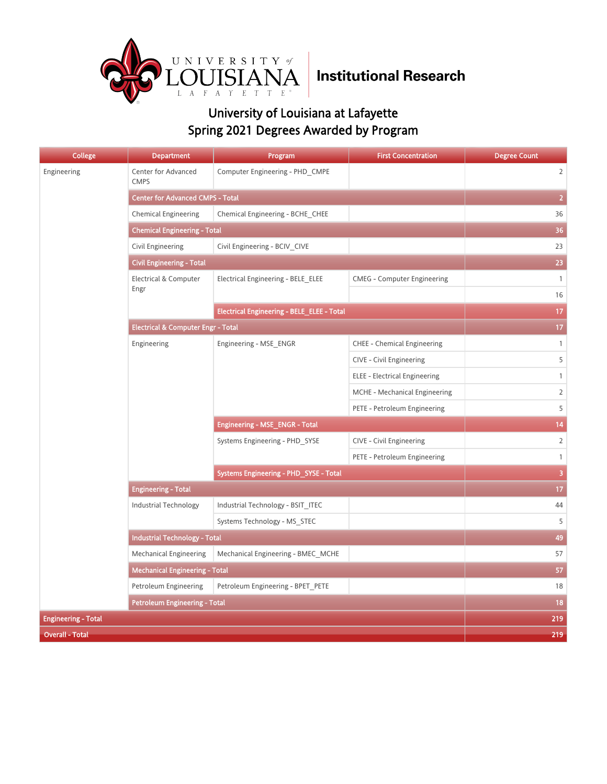

| <b>College</b>             | <b>Department</b>                             | Program                                           | <b>First Concentration</b>           | <b>Degree Count</b> |
|----------------------------|-----------------------------------------------|---------------------------------------------------|--------------------------------------|---------------------|
| Engineering                | Center for Advanced<br><b>CMPS</b>            | Computer Engineering - PHD_CMPE                   |                                      | $\overline{2}$      |
|                            | <b>Center for Advanced CMPS - Total</b>       |                                                   |                                      | $\overline{2}$      |
|                            | <b>Chemical Engineering</b>                   | Chemical Engineering - BCHE CHEE                  |                                      | 36                  |
|                            | <b>Chemical Engineering - Total</b>           | 36                                                |                                      |                     |
|                            | Civil Engineering                             | Civil Engineering - BCIV CIVE                     |                                      | 23                  |
|                            | <b>Civil Engineering - Total</b>              |                                                   |                                      | 23                  |
|                            | Electrical & Computer                         | Electrical Engineering - BELE ELEE                | <b>CMEG - Computer Engineering</b>   | $\mathbf{1}$        |
|                            | Engr                                          |                                                   |                                      | 16                  |
|                            |                                               | <b>Electrical Engineering - BELE_ELEE - Total</b> |                                      | 17                  |
|                            | <b>Electrical &amp; Computer Engr - Total</b> |                                                   |                                      | 17 <sub>2</sub>     |
|                            | Engineering                                   | Engineering - MSE_ENGR                            | <b>CHEE - Chemical Engineering</b>   | $\mathbf{1}$        |
|                            |                                               |                                                   | CIVE - Civil Engineering             | 5                   |
|                            |                                               |                                                   | <b>ELEE - Electrical Engineering</b> | $\mathbf{1}$        |
|                            |                                               |                                                   | MCHE - Mechanical Engineering        | $\overline{2}$      |
|                            |                                               |                                                   | PETE - Petroleum Engineering         | 5                   |
|                            |                                               | Engineering - MSE_ENGR - Total                    | 14                                   |                     |
|                            |                                               | Systems Engineering - PHD SYSE                    | <b>CIVE - Civil Engineering</b>      | $\overline{2}$      |
|                            |                                               |                                                   | PETE - Petroleum Engineering         | $\mathbf{1}$        |
|                            |                                               | Systems Engineering - PHD_SYSE - Total            | $\overline{\mathbf{3}}$              |                     |
|                            | <b>Engineering - Total</b>                    |                                                   |                                      | 17 <sub>2</sub>     |
|                            | <b>Industrial Technology</b>                  | Industrial Technology - BSIT_ITEC                 |                                      | 44                  |
|                            |                                               | Systems Technology - MS STEC                      |                                      | 5                   |
|                            | <b>Industrial Technology - Total</b>          |                                                   |                                      | 49                  |
|                            | <b>Mechanical Engineering</b>                 | Mechanical Engineering - BMEC MCHE                |                                      | 57                  |
|                            | <b>Mechanical Engineering - Total</b>         |                                                   |                                      | 57                  |
|                            | Petroleum Engineering                         | Petroleum Engineering - BPET PETE                 |                                      | 18                  |
|                            | Petroleum Engineering - Total                 |                                                   |                                      | 18                  |
| <b>Engineering - Total</b> |                                               |                                                   |                                      | 219                 |
| <b>Overall - Total</b>     |                                               |                                                   | 219                                  |                     |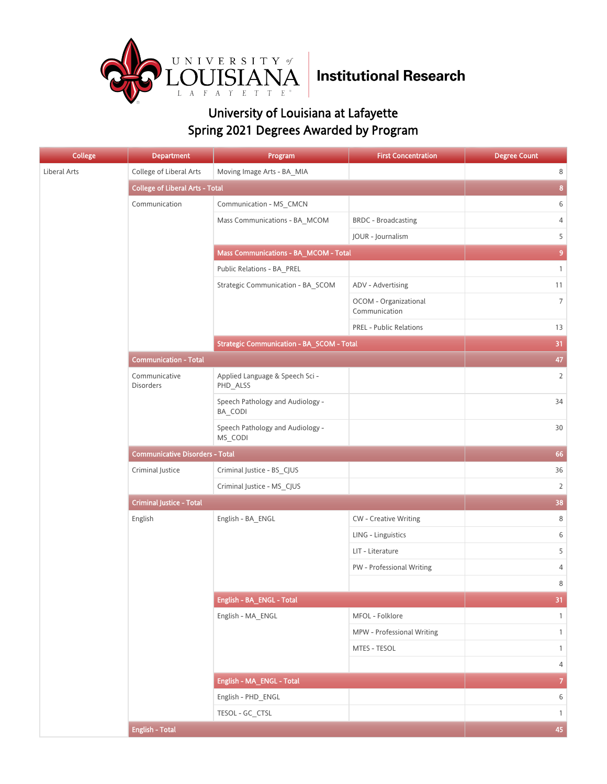

| College      | <b>Department</b>                      | Program                                          | <b>First Concentration</b>             | <b>Degree Count</b> |
|--------------|----------------------------------------|--------------------------------------------------|----------------------------------------|---------------------|
| Liberal Arts | College of Liberal Arts                | Moving Image Arts - BA_MIA                       |                                        | 8                   |
|              | <b>College of Liberal Arts - Total</b> |                                                  |                                        | $\boldsymbol{8}$    |
|              | Communication                          | Communication - MS_CMCN                          |                                        | 6                   |
|              |                                        | Mass Communications - BA_MCOM                    | <b>BRDC</b> - Broadcasting             | 4                   |
|              |                                        |                                                  | JOUR - Journalism                      | 5                   |
|              |                                        | Mass Communications - BA_MCOM - Total            |                                        | $\boldsymbol{9}$    |
|              |                                        | Public Relations - BA_PREL                       |                                        | $\mathbf{1}$        |
|              |                                        | Strategic Communication - BA_SCOM                | ADV - Advertising                      | 11                  |
|              |                                        |                                                  | OCOM - Organizational<br>Communication | $\overline{7}$      |
|              |                                        |                                                  | <b>PREL - Public Relations</b>         | 13                  |
|              |                                        | <b>Strategic Communication - BA_SCOM - Total</b> |                                        | 31                  |
|              | <b>Communication - Total</b>           |                                                  |                                        | 47                  |
|              | Communicative<br>Disorders             | Applied Language & Speech Sci -<br>PHD_ALSS      |                                        | $\overline{2}$      |
|              |                                        | Speech Pathology and Audiology -<br>BA_CODI      |                                        | 34                  |
|              |                                        | Speech Pathology and Audiology -<br>MS_CODI      |                                        | 30                  |
|              | <b>Communicative Disorders - Total</b> | 66                                               |                                        |                     |
|              | Criminal Justice                       | Criminal Justice - BS_CJUS                       |                                        | 36                  |
|              |                                        | Criminal Justice - MS_CJUS                       |                                        | $\overline{2}$      |
|              | <b>Criminal Justice - Total</b>        | 38                                               |                                        |                     |
|              | English                                | English - BA_ENGL                                | <b>CW</b> - Creative Writing           | 8                   |
|              |                                        |                                                  | LING - Linguistics                     | $\,$ 6 $\,$         |
|              |                                        |                                                  | LIT - Literature                       | 5                   |
|              |                                        |                                                  | PW - Professional Writing              | $\sqrt{4}$          |
|              |                                        |                                                  |                                        | $\,8\,$             |
|              |                                        | English - BA_ENGL - Total                        |                                        | 31                  |
|              |                                        | English - MA_ENGL                                | MFOL - Folklore                        | $\mathbf{1}$        |
|              |                                        |                                                  | MPW - Professional Writing             | $\mathbf{1}$        |
|              |                                        |                                                  | MTES - TESOL                           | $\mathbf{1}$        |
|              |                                        |                                                  |                                        | $\sqrt{4}$          |
|              |                                        | English - MA_ENGL - Total                        |                                        | $\overline{7}$      |
|              |                                        | English - PHD_ENGL                               |                                        | 6                   |
|              |                                        | TESOL - GC_CTSL                                  |                                        | $\mathbf{1}$        |
|              | <b>English - Total</b>                 |                                                  |                                        | 45                  |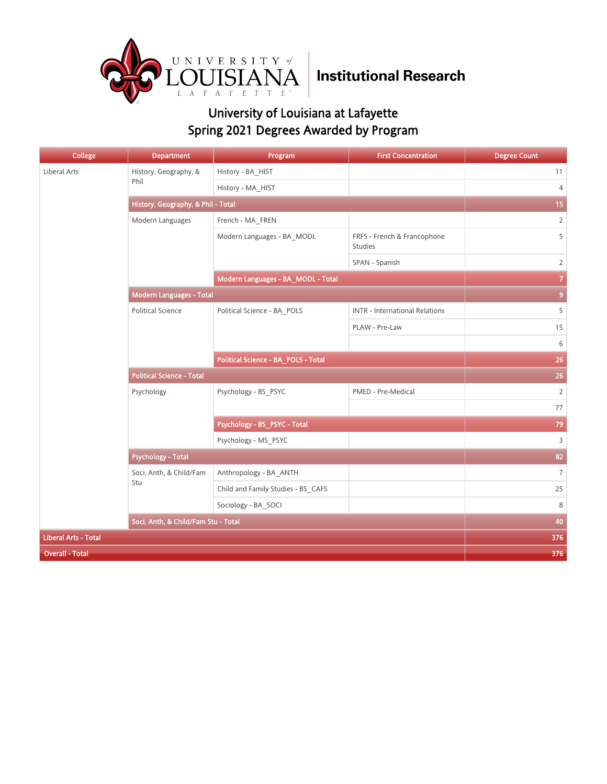

| <b>College</b>              | <b>Department</b>                   | Program                             | <b>First Concentration</b>             | <b>Degree Count</b> |
|-----------------------------|-------------------------------------|-------------------------------------|----------------------------------------|---------------------|
| Liberal Arts                | History, Geography, &               | History - BA_HIST                   |                                        | 11                  |
|                             | Phil                                | History - MA HIST                   |                                        | $\overline{4}$      |
|                             | History, Geography, & Phil - Total  |                                     |                                        | 15                  |
|                             | Modern Languages                    | French - MA_FREN                    |                                        | $\overline{2}$      |
|                             |                                     | Modern Languages - BA_MODL          | FRFS - French & Francophone<br>Studies | 5                   |
|                             |                                     |                                     | SPAN - Spanish                         | $\overline{2}$      |
|                             |                                     | Modern Languages - BA_MODL - Total  |                                        |                     |
|                             | Modern Languages - Total            |                                     |                                        | 9                   |
|                             | <b>Political Science</b>            | Political Science - BA_POLS         | <b>INTR - International Relations</b>  | 5                   |
|                             |                                     |                                     | PLAW - Pre-Law                         | 15                  |
|                             |                                     |                                     |                                        | 6                   |
|                             |                                     | Political Science - BA_POLS - Total | 26                                     |                     |
|                             | <b>Political Science - Total</b>    | 26                                  |                                        |                     |
|                             | Psychology                          | Psychology - BS_PSYC                | PMED - Pre-Medical                     | $\overline{2}$      |
|                             |                                     |                                     |                                        | 77                  |
|                             |                                     | Psychology - BS_PSYC - Total        |                                        | 79                  |
|                             |                                     | Psychology - MS_PSYC                |                                        | $\overline{3}$      |
|                             | <b>Psychology - Total</b>           |                                     |                                        | 82                  |
|                             | Soci, Anth, & Child/Fam             | Anthropology - BA_ANTH              |                                        | $\overline{7}$      |
|                             | Stu                                 | Child and Family Studies - BS_CAFS  |                                        | 25                  |
|                             |                                     | Sociology - BA SOCI                 |                                        | 8                   |
|                             | Soci, Anth, & Child/Fam Stu - Total | 40                                  |                                        |                     |
| <b>Liberal Arts - Total</b> |                                     |                                     |                                        | 376                 |
| <b>Overall - Total</b>      |                                     |                                     |                                        | 376                 |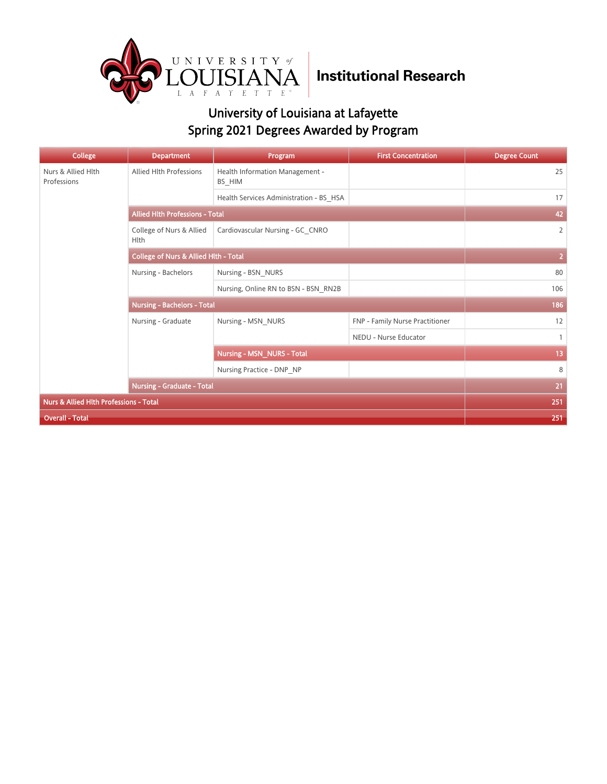

| College                                | <b>Department</b>                                | Program                                   | <b>First Concentration</b>      | <b>Degree Count</b> |
|----------------------------------------|--------------------------------------------------|-------------------------------------------|---------------------------------|---------------------|
| Nurs & Allied Hlth<br>Professions      | <b>Allied Hlth Professions</b>                   | Health Information Management -<br>BS_HIM |                                 | 25                  |
|                                        |                                                  | Health Services Administration - BS HSA   |                                 | 17                  |
|                                        | <b>Allied Hith Professions - Total</b>           | 42                                        |                                 |                     |
|                                        | College of Nurs & Allied<br>Hlth                 | Cardiovascular Nursing - GC CNRO          |                                 | $\overline{2}$      |
|                                        | <b>College of Nurs &amp; Allied Hith - Total</b> | $\overline{2}$                            |                                 |                     |
|                                        | Nursing - Bachelors                              | Nursing - BSN NURS                        |                                 | 80                  |
|                                        |                                                  | Nursing, Online RN to BSN - BSN RN2B      |                                 | 106                 |
|                                        | <b>Nursing - Bachelors - Total</b>               | 186                                       |                                 |                     |
|                                        | Nursing - Graduate                               | Nursing - MSN NURS                        | FNP - Family Nurse Practitioner | 12                  |
|                                        |                                                  |                                           | NEDU - Nurse Educator           | $\mathbf{1}$        |
|                                        |                                                  | <b>Nursing - MSN_NURS - Total</b>         | 13                              |                     |
|                                        |                                                  | Nursing Practice - DNP NP                 |                                 | 8                   |
|                                        | <b>Nursing - Graduate - Total</b>                | 21                                        |                                 |                     |
| Nurs & Allied Hlth Professions - Total | 251                                              |                                           |                                 |                     |
| <b>Overall - Total</b>                 |                                                  |                                           |                                 | 251                 |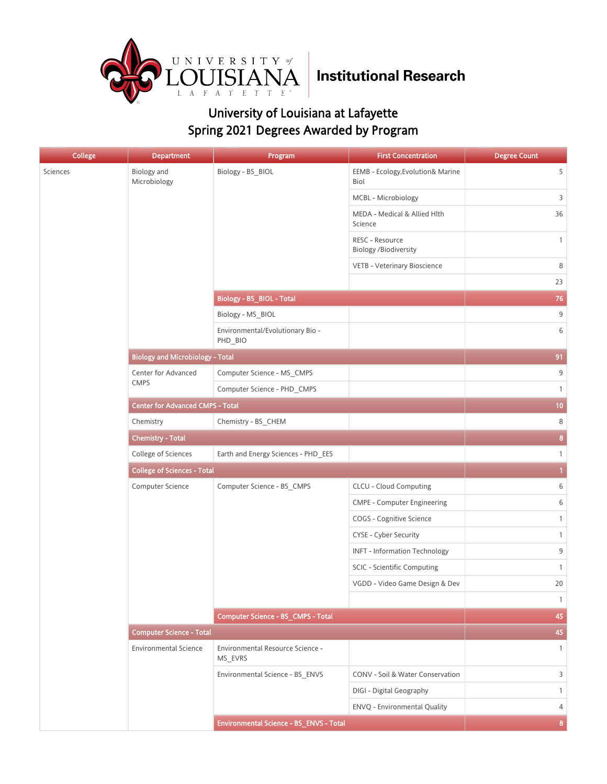

| College  | <b>Department</b>                       | Program                                     | <b>First Concentration</b>                      | <b>Degree Count</b> |
|----------|-----------------------------------------|---------------------------------------------|-------------------------------------------------|---------------------|
| Sciences | Biology and<br>Microbiology             | Biology - BS_BIOL                           | EEMB - Ecology, Evolution& Marine<br>Biol       | 5                   |
|          |                                         |                                             | MCBL - Microbiology                             | 3                   |
|          |                                         |                                             | MEDA - Medical & Allied Hlth<br>Science         | 36                  |
|          |                                         |                                             | RESC - Resource<br><b>Biology /Biodiversity</b> | $\mathbf{1}$        |
|          |                                         |                                             | VETB - Veterinary Bioscience                    | 8                   |
|          |                                         |                                             |                                                 | 23                  |
|          |                                         | Biology - BS_BIOL - Total                   |                                                 | 76                  |
|          |                                         | Biology - MS_BIOL                           |                                                 | 9                   |
|          |                                         | Environmental/Evolutionary Bio -<br>PHD_BIO |                                                 | 6                   |
|          | <b>Biology and Microbiology - Total</b> |                                             |                                                 | 91                  |
|          | Center for Advanced                     | Computer Science - MS_CMPS                  |                                                 | 9                   |
|          | <b>CMPS</b>                             | Computer Science - PHD_CMPS                 |                                                 | $\mathbf{1}$        |
|          | <b>Center for Advanced CMPS - Total</b> |                                             |                                                 | 10                  |
|          | Chemistry                               | Chemistry - BS_CHEM                         |                                                 | 8                   |
|          | <b>Chemistry - Total</b>                |                                             |                                                 | 8                   |
|          | College of Sciences                     | Earth and Energy Sciences - PHD_EES         |                                                 | $\mathbf{1}$        |
|          | <b>College of Sciences - Total</b>      | $\mathbf{1}$                                |                                                 |                     |
|          | Computer Science                        | Computer Science - BS_CMPS                  | CLCU - Cloud Computing                          | 6                   |
|          |                                         |                                             | <b>CMPE - Computer Engineering</b>              | 6                   |
|          |                                         |                                             | COGS - Cognitive Science                        | $\mathbf{1}$        |
|          |                                         |                                             | CYSE - Cyber Security                           | $\mathbf{1}$        |
|          |                                         |                                             | <b>INFT - Information Technology</b>            | 9                   |
|          |                                         |                                             | SCIC - Scientific Computing                     | $\mathbf{1}$        |
|          |                                         |                                             | VGDD - Video Game Design & Dev                  | 20                  |
|          |                                         |                                             |                                                 | $\mathbf{1}$        |
|          |                                         | Computer Science - BS_CMPS - Total          |                                                 | 45                  |
|          | <b>Computer Science - Total</b>         |                                             |                                                 | 45                  |
|          | <b>Environmental Science</b>            | Environmental Resource Science -<br>MS_EVRS |                                                 | $\mathbf{1}$        |
|          |                                         | Environmental Science - BS_ENVS             | CONV - Soil & Water Conservation                | 3                   |
|          |                                         |                                             | DIGI - Digital Geography                        | $\mathbf{1}$        |
|          |                                         |                                             | ENVQ - Environmental Quality                    | 4                   |
|          |                                         | Environmental Science - BS_ENVS - Total     |                                                 | 8                   |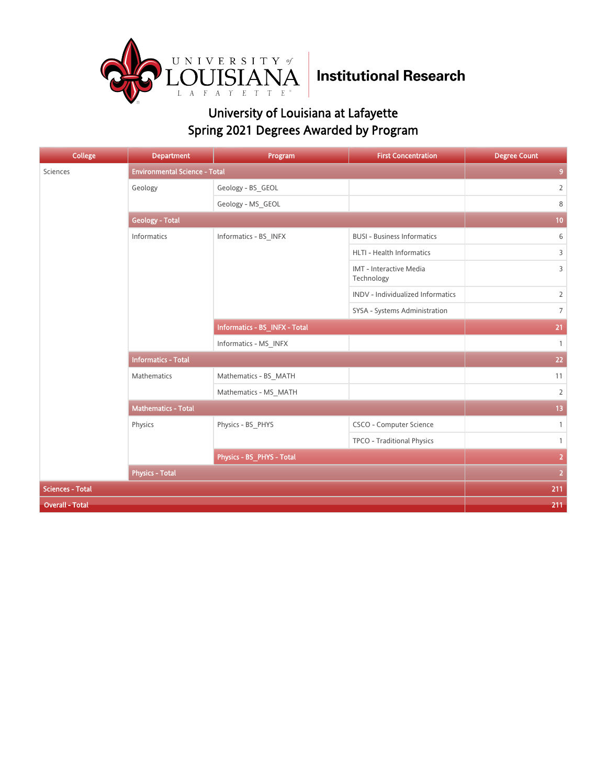

| <b>College</b>          | <b>Department</b>                    | Program                       | <b>First Concentration</b>            | <b>Degree Count</b> |
|-------------------------|--------------------------------------|-------------------------------|---------------------------------------|---------------------|
| Sciences                | <b>Environmental Science - Total</b> |                               |                                       | 9                   |
|                         | Geology                              | Geology - BS_GEOL             |                                       | $\overline{2}$      |
|                         |                                      | Geology - MS_GEOL             |                                       | 8                   |
|                         | <b>Geology - Total</b>               |                               |                                       | 10                  |
|                         | Informatics                          | Informatics - BS_INFX         | <b>BUSI - Business Informatics</b>    | 6                   |
|                         |                                      |                               | HLTI - Health Informatics             | 3                   |
|                         |                                      |                               | IMT - Interactive Media<br>Technology | 3                   |
|                         |                                      |                               | INDV - Individualized Informatics     | $\overline{2}$      |
|                         |                                      |                               | SYSA - Systems Administration         | $\overline{7}$      |
|                         |                                      | Informatics - BS_INFX - Total |                                       | 21                  |
|                         |                                      | Informatics - MS INFX         |                                       | $\overline{1}$      |
|                         | <b>Informatics - Total</b>           | 22                            |                                       |                     |
|                         | Mathematics                          | Mathematics - BS_MATH         |                                       | 11                  |
|                         |                                      | Mathematics - MS MATH         |                                       | $\overline{2}$      |
|                         | <b>Mathematics - Total</b>           |                               |                                       | 13                  |
|                         | Physics                              | Physics - BS_PHYS             | CSCO - Computer Science               | $\mathbf{1}$        |
|                         |                                      |                               | TPCO - Traditional Physics            | $\mathbf{1}$        |
|                         |                                      | Physics - BS_PHYS - Total     |                                       | $\overline{2}$      |
|                         | <b>Physics - Total</b>               |                               |                                       | $\overline{2}$      |
| <b>Sciences - Total</b> |                                      |                               |                                       |                     |
| <b>Overall - Total</b>  |                                      |                               |                                       | 211                 |